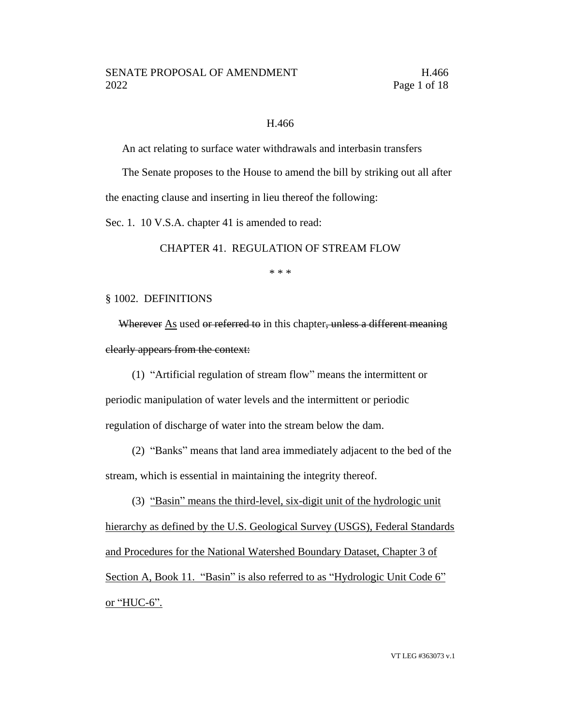#### H.466

An act relating to surface water withdrawals and interbasin transfers

The Senate proposes to the House to amend the bill by striking out all after the enacting clause and inserting in lieu thereof the following:

Sec. 1. 10 V.S.A. chapter 41 is amended to read:

CHAPTER 41. REGULATION OF STREAM FLOW

\* \* \*

#### § 1002. DEFINITIONS

Wherever  $\Delta s$  used or referred to in this chapter, unless a different meaning clearly appears from the context:

(1) "Artificial regulation of stream flow" means the intermittent or periodic manipulation of water levels and the intermittent or periodic regulation of discharge of water into the stream below the dam.

(2) "Banks" means that land area immediately adjacent to the bed of the stream, which is essential in maintaining the integrity thereof.

(3) "Basin" means the third-level, six-digit unit of the hydrologic unit hierarchy as defined by the U.S. Geological Survey (USGS), Federal Standards and Procedures for the National Watershed Boundary Dataset, Chapter 3 of Section A, Book 11. "Basin" is also referred to as "Hydrologic Unit Code 6" or "HUC-6".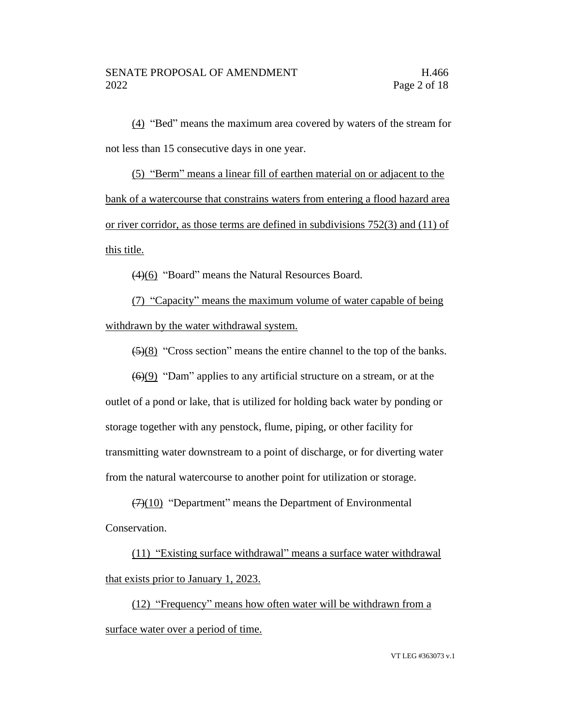(4) "Bed" means the maximum area covered by waters of the stream for not less than 15 consecutive days in one year.

(5) "Berm" means a linear fill of earthen material on or adjacent to the bank of a watercourse that constrains waters from entering a flood hazard area or river corridor, as those terms are defined in subdivisions 752(3) and (11) of this title.

(4)(6) "Board" means the Natural Resources Board.

(7) "Capacity" means the maximum volume of water capable of being withdrawn by the water withdrawal system.

(5)(8) "Cross section" means the entire channel to the top of the banks.

 $(6)(9)$  "Dam" applies to any artificial structure on a stream, or at the outlet of a pond or lake, that is utilized for holding back water by ponding or storage together with any penstock, flume, piping, or other facility for transmitting water downstream to a point of discharge, or for diverting water from the natural watercourse to another point for utilization or storage.

 $(7)(10)$  "Department" means the Department of Environmental Conservation.

(11) "Existing surface withdrawal" means a surface water withdrawal that exists prior to January 1, 2023.

(12) "Frequency" means how often water will be withdrawn from a surface water over a period of time.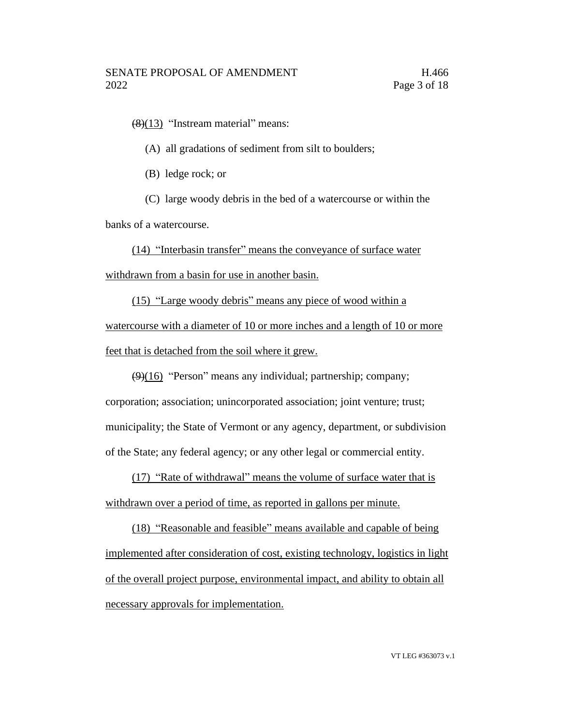$(8)(13)$  "Instream material" means:

(A) all gradations of sediment from silt to boulders;

(B) ledge rock; or

(C) large woody debris in the bed of a watercourse or within the

banks of a watercourse.

(14) "Interbasin transfer" means the conveyance of surface water withdrawn from a basin for use in another basin.

(15) "Large woody debris" means any piece of wood within a watercourse with a diameter of 10 or more inches and a length of 10 or more feet that is detached from the soil where it grew.

 $(9)(16)$  "Person" means any individual; partnership; company; corporation; association; unincorporated association; joint venture; trust; municipality; the State of Vermont or any agency, department, or subdivision of the State; any federal agency; or any other legal or commercial entity.

(17) "Rate of withdrawal" means the volume of surface water that is withdrawn over a period of time, as reported in gallons per minute.

(18) "Reasonable and feasible" means available and capable of being implemented after consideration of cost, existing technology, logistics in light of the overall project purpose, environmental impact, and ability to obtain all necessary approvals for implementation.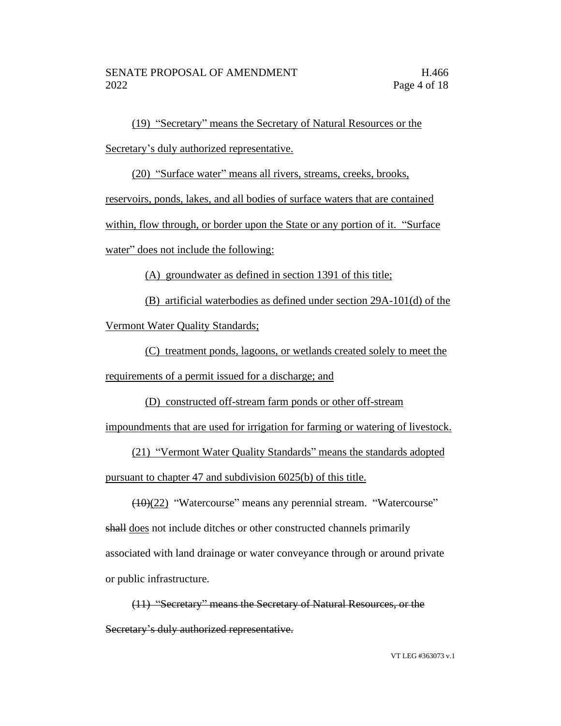(19) "Secretary" means the Secretary of Natural Resources or the Secretary's duly authorized representative.

(20) "Surface water" means all rivers, streams, creeks, brooks,

reservoirs, ponds, lakes, and all bodies of surface waters that are contained

within, flow through, or border upon the State or any portion of it. "Surface

water" does not include the following:

(A) groundwater as defined in section 1391 of this title;

(B) artificial waterbodies as defined under section 29A-101(d) of the Vermont Water Quality Standards;

(C) treatment ponds, lagoons, or wetlands created solely to meet the requirements of a permit issued for a discharge; and

(D) constructed off-stream farm ponds or other off-stream

impoundments that are used for irrigation for farming or watering of livestock.

(21) "Vermont Water Quality Standards" means the standards adopted pursuant to chapter 47 and subdivision 6025(b) of this title.

(10)(22) "Watercourse" means any perennial stream. "Watercourse" shall does not include ditches or other constructed channels primarily associated with land drainage or water conveyance through or around private or public infrastructure.

(11) "Secretary" means the Secretary of Natural Resources, or the Secretary's duly authorized representative.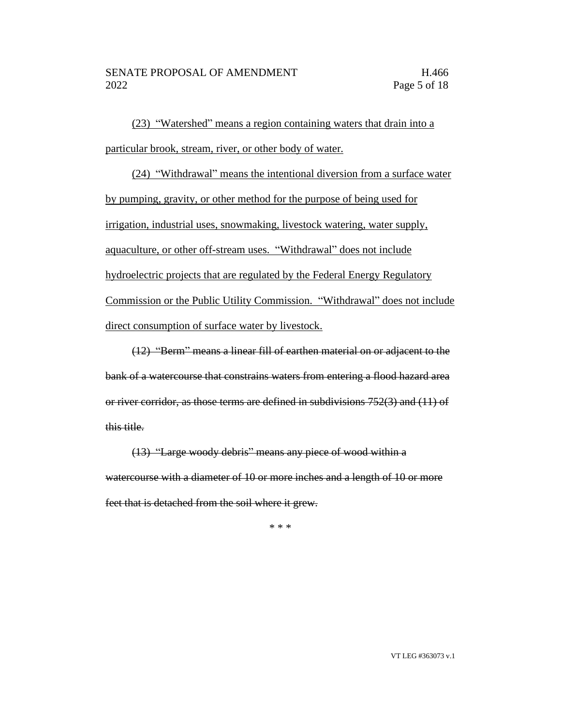(23) "Watershed" means a region containing waters that drain into a particular brook, stream, river, or other body of water.

(24) "Withdrawal" means the intentional diversion from a surface water by pumping, gravity, or other method for the purpose of being used for irrigation, industrial uses, snowmaking, livestock watering, water supply, aquaculture, or other off-stream uses. "Withdrawal" does not include hydroelectric projects that are regulated by the Federal Energy Regulatory Commission or the Public Utility Commission. "Withdrawal" does not include direct consumption of surface water by livestock.

(12) "Berm" means a linear fill of earthen material on or adjacent to the bank of a watercourse that constrains waters from entering a flood hazard area or river corridor, as those terms are defined in subdivisions 752(3) and (11) of this title.

(13) "Large woody debris" means any piece of wood within a watercourse with a diameter of 10 or more inches and a length of 10 or more feet that is detached from the soil where it grew.

\* \* \*

VT LEG #363073 v.1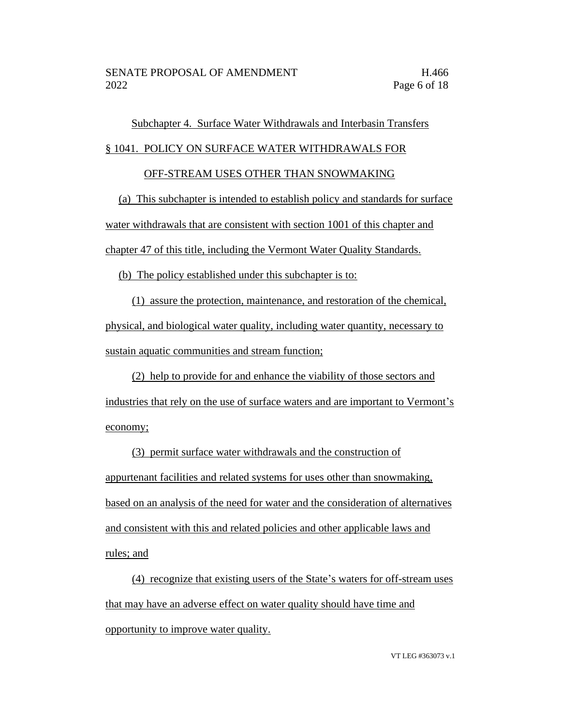## Subchapter 4. Surface Water Withdrawals and Interbasin Transfers

#### § 1041. POLICY ON SURFACE WATER WITHDRAWALS FOR

#### OFF-STREAM USES OTHER THAN SNOWMAKING

(a) This subchapter is intended to establish policy and standards for surface water withdrawals that are consistent with section 1001 of this chapter and chapter 47 of this title, including the Vermont Water Quality Standards.

(b) The policy established under this subchapter is to:

(1) assure the protection, maintenance, and restoration of the chemical, physical, and biological water quality, including water quantity, necessary to sustain aquatic communities and stream function;

(2) help to provide for and enhance the viability of those sectors and industries that rely on the use of surface waters and are important to Vermont's economy;

(3) permit surface water withdrawals and the construction of appurtenant facilities and related systems for uses other than snowmaking, based on an analysis of the need for water and the consideration of alternatives and consistent with this and related policies and other applicable laws and rules; and

(4) recognize that existing users of the State's waters for off-stream uses that may have an adverse effect on water quality should have time and opportunity to improve water quality.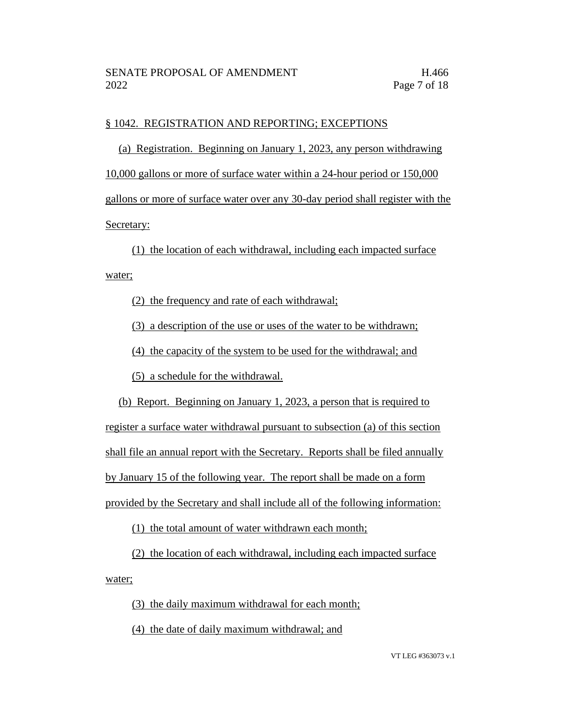#### § 1042. REGISTRATION AND REPORTING; EXCEPTIONS

(a) Registration. Beginning on January 1, 2023, any person withdrawing 10,000 gallons or more of surface water within a 24-hour period or 150,000 gallons or more of surface water over any 30-day period shall register with the Secretary:

(1) the location of each withdrawal, including each impacted surface

water;

(2) the frequency and rate of each withdrawal;

(3) a description of the use or uses of the water to be withdrawn;

(4) the capacity of the system to be used for the withdrawal; and

(5) a schedule for the withdrawal.

(b) Report. Beginning on January 1, 2023, a person that is required to register a surface water withdrawal pursuant to subsection (a) of this section shall file an annual report with the Secretary. Reports shall be filed annually by January 15 of the following year. The report shall be made on a form provided by the Secretary and shall include all of the following information:

(1) the total amount of water withdrawn each month;

(2) the location of each withdrawal, including each impacted surface water;

(3) the daily maximum withdrawal for each month;

(4) the date of daily maximum withdrawal; and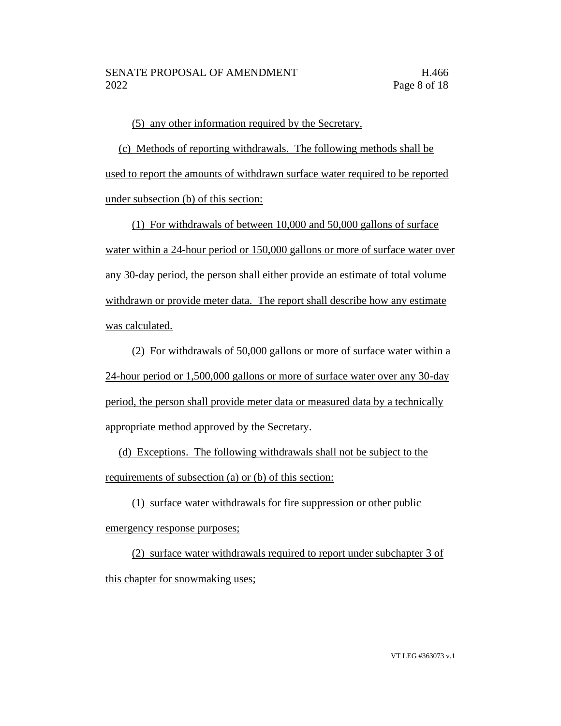(5) any other information required by the Secretary.

(c) Methods of reporting withdrawals. The following methods shall be used to report the amounts of withdrawn surface water required to be reported under subsection (b) of this section:

(1) For withdrawals of between 10,000 and 50,000 gallons of surface water within a 24-hour period or 150,000 gallons or more of surface water over any 30-day period, the person shall either provide an estimate of total volume withdrawn or provide meter data. The report shall describe how any estimate was calculated.

(2) For withdrawals of 50,000 gallons or more of surface water within a 24-hour period or 1,500,000 gallons or more of surface water over any 30-day period, the person shall provide meter data or measured data by a technically appropriate method approved by the Secretary.

(d) Exceptions. The following withdrawals shall not be subject to the requirements of subsection (a) or (b) of this section:

(1) surface water withdrawals for fire suppression or other public emergency response purposes;

(2) surface water withdrawals required to report under subchapter 3 of this chapter for snowmaking uses;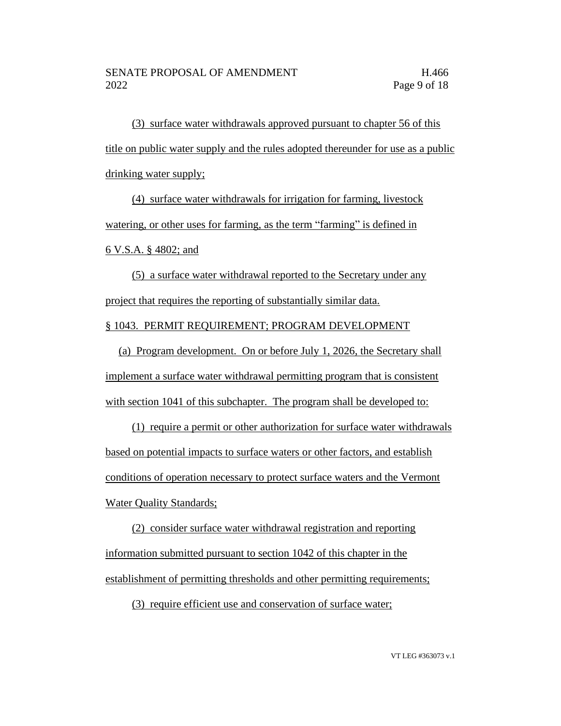(3) surface water withdrawals approved pursuant to chapter 56 of this title on public water supply and the rules adopted thereunder for use as a public drinking water supply;

(4) surface water withdrawals for irrigation for farming, livestock watering, or other uses for farming, as the term "farming" is defined in 6 V.S.A. § 4802; and

(5) a surface water withdrawal reported to the Secretary under any project that requires the reporting of substantially similar data. § 1043. PERMIT REQUIREMENT; PROGRAM DEVELOPMENT

(a) Program development. On or before July 1, 2026, the Secretary shall implement a surface water withdrawal permitting program that is consistent with section 1041 of this subchapter. The program shall be developed to:

(1) require a permit or other authorization for surface water withdrawals based on potential impacts to surface waters or other factors, and establish conditions of operation necessary to protect surface waters and the Vermont **Water Quality Standards**;

(2) consider surface water withdrawal registration and reporting information submitted pursuant to section 1042 of this chapter in the establishment of permitting thresholds and other permitting requirements;

(3) require efficient use and conservation of surface water;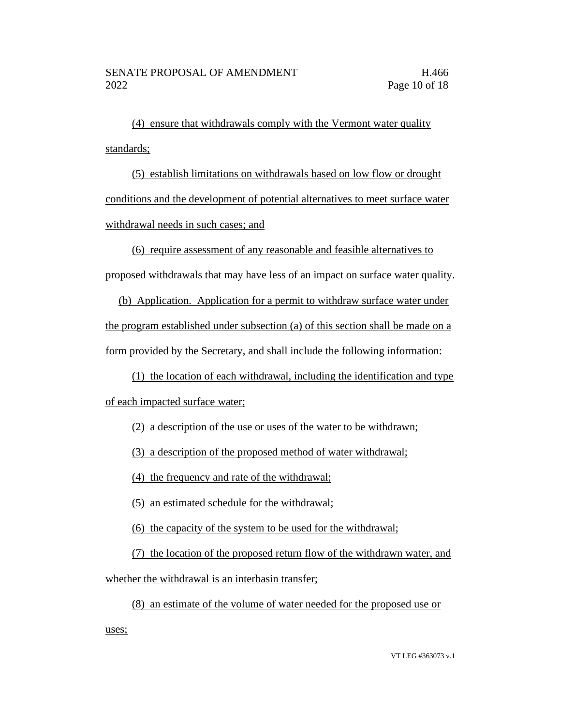(4) ensure that withdrawals comply with the Vermont water quality standards;

(5) establish limitations on withdrawals based on low flow or drought conditions and the development of potential alternatives to meet surface water withdrawal needs in such cases; and

(6) require assessment of any reasonable and feasible alternatives to proposed withdrawals that may have less of an impact on surface water quality.

(b) Application. Application for a permit to withdraw surface water under the program established under subsection (a) of this section shall be made on a form provided by the Secretary, and shall include the following information:

(1) the location of each withdrawal, including the identification and type of each impacted surface water;

(2) a description of the use or uses of the water to be withdrawn;

(3) a description of the proposed method of water withdrawal;

(4) the frequency and rate of the withdrawal;

(5) an estimated schedule for the withdrawal;

(6) the capacity of the system to be used for the withdrawal;

(7) the location of the proposed return flow of the withdrawn water, and

whether the withdrawal is an interbasin transfer;

(8) an estimate of the volume of water needed for the proposed use or uses;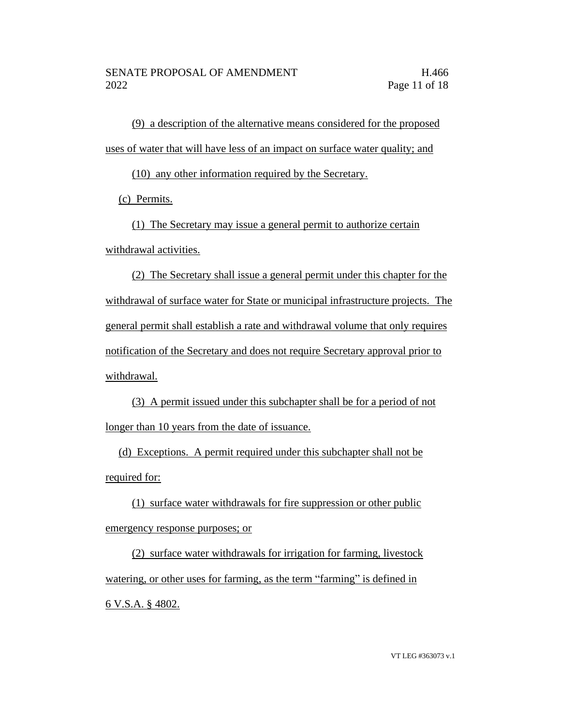(9) a description of the alternative means considered for the proposed uses of water that will have less of an impact on surface water quality; and

(10) any other information required by the Secretary.

(c) Permits.

(1) The Secretary may issue a general permit to authorize certain withdrawal activities.

(2) The Secretary shall issue a general permit under this chapter for the withdrawal of surface water for State or municipal infrastructure projects. The general permit shall establish a rate and withdrawal volume that only requires notification of the Secretary and does not require Secretary approval prior to withdrawal.

(3) A permit issued under this subchapter shall be for a period of not longer than 10 years from the date of issuance.

(d) Exceptions. A permit required under this subchapter shall not be required for:

(1) surface water withdrawals for fire suppression or other public emergency response purposes; or

(2) surface water withdrawals for irrigation for farming, livestock watering, or other uses for farming, as the term "farming" is defined in 6 V.S.A. § 4802.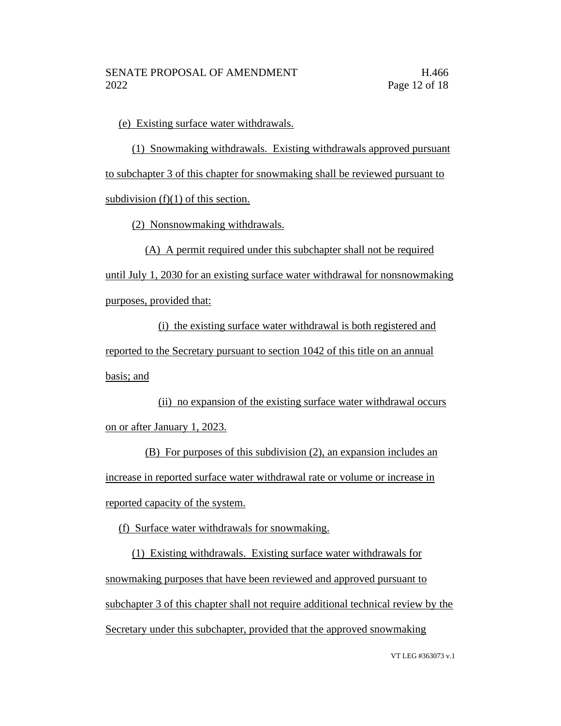(e) Existing surface water withdrawals.

(1) Snowmaking withdrawals. Existing withdrawals approved pursuant to subchapter 3 of this chapter for snowmaking shall be reviewed pursuant to subdivision  $(f)(1)$  of this section.

(2) Nonsnowmaking withdrawals.

(A) A permit required under this subchapter shall not be required until July 1, 2030 for an existing surface water withdrawal for nonsnowmaking

purposes, provided that:

(i) the existing surface water withdrawal is both registered and reported to the Secretary pursuant to section 1042 of this title on an annual basis; and

(ii) no expansion of the existing surface water withdrawal occurs on or after January 1, 2023.

(B) For purposes of this subdivision (2), an expansion includes an increase in reported surface water withdrawal rate or volume or increase in reported capacity of the system.

(f) Surface water withdrawals for snowmaking.

(1) Existing withdrawals. Existing surface water withdrawals for snowmaking purposes that have been reviewed and approved pursuant to subchapter 3 of this chapter shall not require additional technical review by the Secretary under this subchapter, provided that the approved snowmaking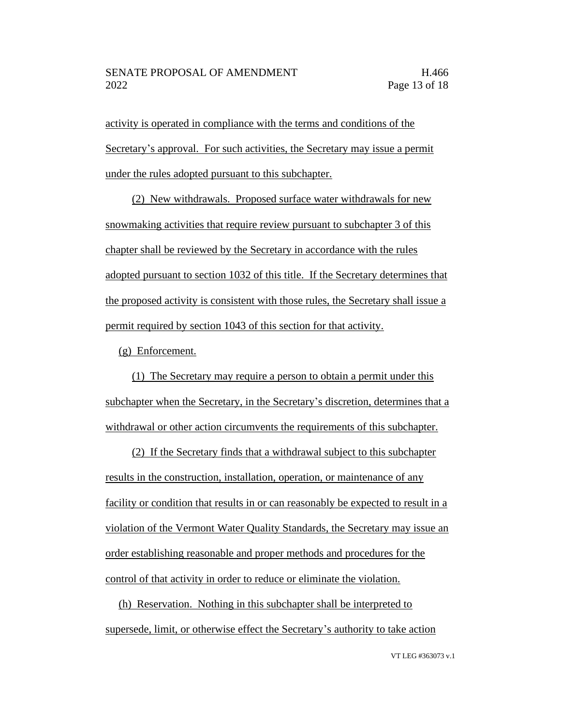activity is operated in compliance with the terms and conditions of the Secretary's approval. For such activities, the Secretary may issue a permit under the rules adopted pursuant to this subchapter.

(2) New withdrawals. Proposed surface water withdrawals for new snowmaking activities that require review pursuant to subchapter 3 of this chapter shall be reviewed by the Secretary in accordance with the rules adopted pursuant to section 1032 of this title. If the Secretary determines that the proposed activity is consistent with those rules, the Secretary shall issue a permit required by section 1043 of this section for that activity.

(g) Enforcement.

(1) The Secretary may require a person to obtain a permit under this subchapter when the Secretary, in the Secretary's discretion, determines that a withdrawal or other action circumvents the requirements of this subchapter.

(2) If the Secretary finds that a withdrawal subject to this subchapter results in the construction, installation, operation, or maintenance of any facility or condition that results in or can reasonably be expected to result in a violation of the Vermont Water Quality Standards, the Secretary may issue an order establishing reasonable and proper methods and procedures for the control of that activity in order to reduce or eliminate the violation.

(h) Reservation. Nothing in this subchapter shall be interpreted to supersede, limit, or otherwise effect the Secretary's authority to take action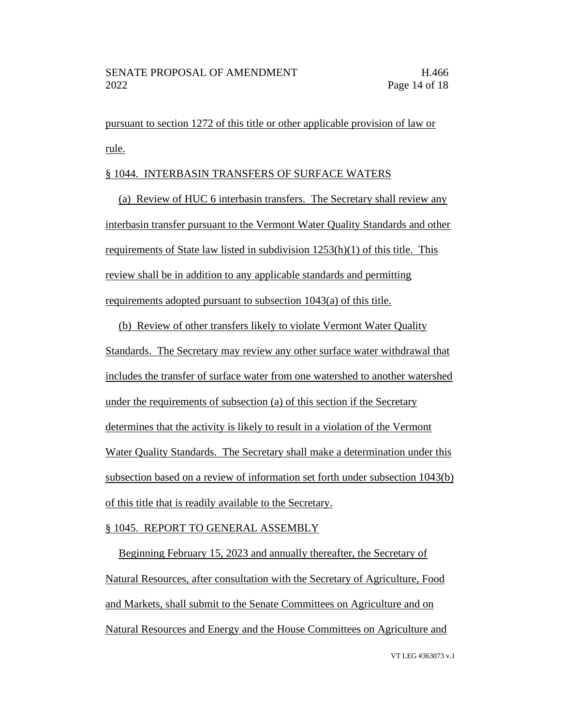pursuant to section 1272 of this title or other applicable provision of law or rule.

#### § 1044. INTERBASIN TRANSFERS OF SURFACE WATERS

(a) Review of HUC 6 interbasin transfers. The Secretary shall review any interbasin transfer pursuant to the Vermont Water Quality Standards and other requirements of State law listed in subdivision 1253(h)(1) of this title. This review shall be in addition to any applicable standards and permitting requirements adopted pursuant to subsection 1043(a) of this title.

(b) Review of other transfers likely to violate Vermont Water Quality Standards. The Secretary may review any other surface water withdrawal that includes the transfer of surface water from one watershed to another watershed under the requirements of subsection (a) of this section if the Secretary determines that the activity is likely to result in a violation of the Vermont Water Quality Standards. The Secretary shall make a determination under this subsection based on a review of information set forth under subsection 1043(b) of this title that is readily available to the Secretary.

#### § 1045. REPORT TO GENERAL ASSEMBLY

Beginning February 15, 2023 and annually thereafter, the Secretary of Natural Resources, after consultation with the Secretary of Agriculture, Food and Markets, shall submit to the Senate Committees on Agriculture and on Natural Resources and Energy and the House Committees on Agriculture and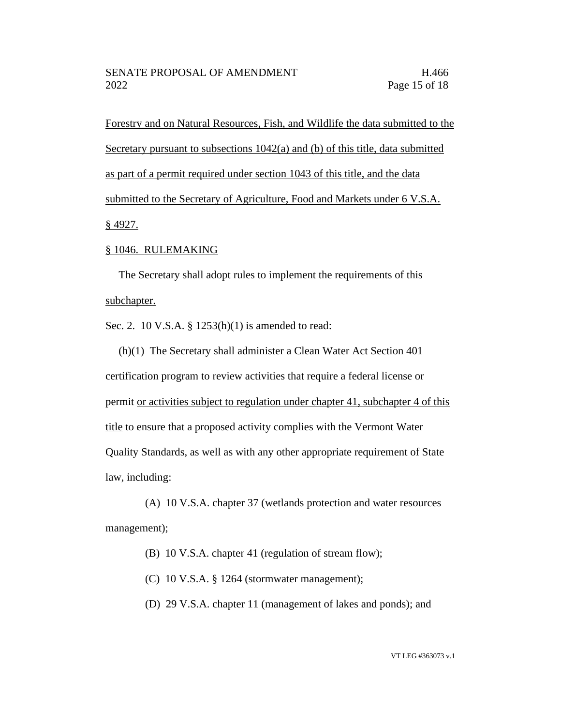Forestry and on Natural Resources, Fish, and Wildlife the data submitted to the Secretary pursuant to subsections 1042(a) and (b) of this title, data submitted as part of a permit required under section 1043 of this title, and the data submitted to the Secretary of Agriculture, Food and Markets under 6 V.S.A. § 4927.

#### § 1046. RULEMAKING

The Secretary shall adopt rules to implement the requirements of this subchapter.

Sec. 2. 10 V.S.A. § 1253(h)(1) is amended to read:

(h)(1) The Secretary shall administer a Clean Water Act Section 401 certification program to review activities that require a federal license or permit or activities subject to regulation under chapter 41, subchapter 4 of this title to ensure that a proposed activity complies with the Vermont Water Quality Standards, as well as with any other appropriate requirement of State law, including:

(A) 10 V.S.A. chapter 37 (wetlands protection and water resources management);

- (B) 10 V.S.A. chapter 41 (regulation of stream flow);
- (C) 10 V.S.A. § 1264 (stormwater management);
- (D) 29 V.S.A. chapter 11 (management of lakes and ponds); and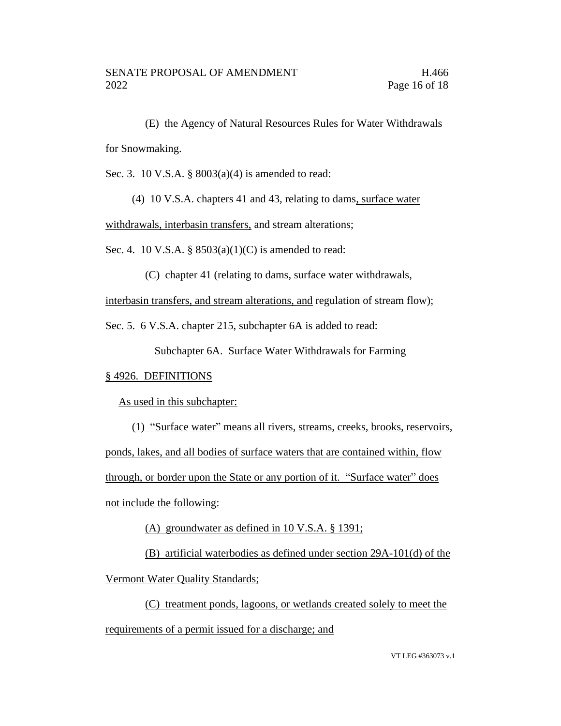(E) the Agency of Natural Resources Rules for Water Withdrawals for Snowmaking.

Sec. 3. 10 V.S.A. § 8003(a)(4) is amended to read:

(4) 10 V.S.A. chapters 41 and 43, relating to dams, surface water

withdrawals, interbasin transfers, and stream alterations;

Sec. 4. 10 V.S.A. §  $8503(a)(1)(C)$  is amended to read:

(C) chapter 41 (relating to dams, surface water withdrawals,

interbasin transfers, and stream alterations, and regulation of stream flow);

Sec. 5. 6 V.S.A. chapter 215, subchapter 6A is added to read:

Subchapter 6A. Surface Water Withdrawals for Farming

#### § 4926. DEFINITIONS

As used in this subchapter:

(1) "Surface water" means all rivers, streams, creeks, brooks, reservoirs, ponds, lakes, and all bodies of surface waters that are contained within, flow through, or border upon the State or any portion of it. "Surface water" does not include the following:

(A) groundwater as defined in 10 V.S.A. § 1391;

(B) artificial waterbodies as defined under section 29A-101(d) of the Vermont Water Quality Standards;

(C) treatment ponds, lagoons, or wetlands created solely to meet the requirements of a permit issued for a discharge; and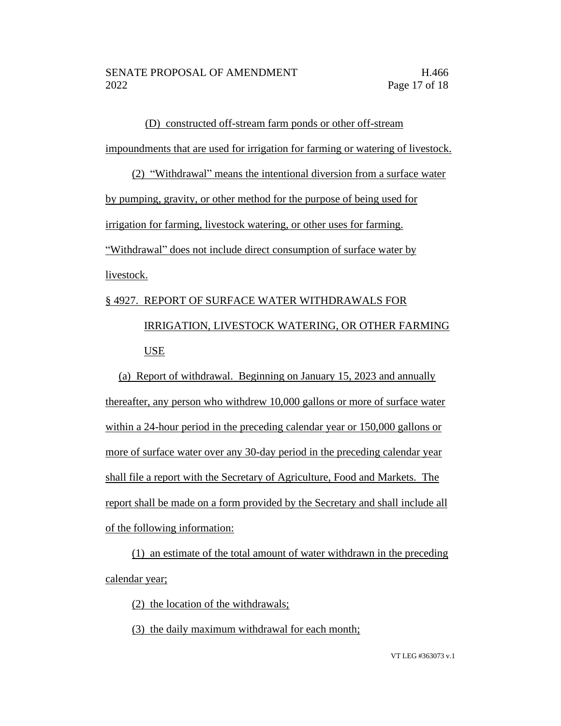### (D) constructed off-stream farm ponds or other off-stream impoundments that are used for irrigation for farming or watering of livestock.

# (2) "Withdrawal" means the intentional diversion from a surface water by pumping, gravity, or other method for the purpose of being used for irrigation for farming, livestock watering, or other uses for farming. "Withdrawal" does not include direct consumption of surface water by livestock.

## § 4927. REPORT OF SURFACE WATER WITHDRAWALS FOR IRRIGATION, LIVESTOCK WATERING, OR OTHER FARMING USE

(a) Report of withdrawal. Beginning on January 15, 2023 and annually thereafter, any person who withdrew 10,000 gallons or more of surface water within a 24-hour period in the preceding calendar year or 150,000 gallons or more of surface water over any 30-day period in the preceding calendar year shall file a report with the Secretary of Agriculture, Food and Markets. The report shall be made on a form provided by the Secretary and shall include all of the following information:

(1) an estimate of the total amount of water withdrawn in the preceding calendar year;

(2) the location of the withdrawals;

(3) the daily maximum withdrawal for each month;